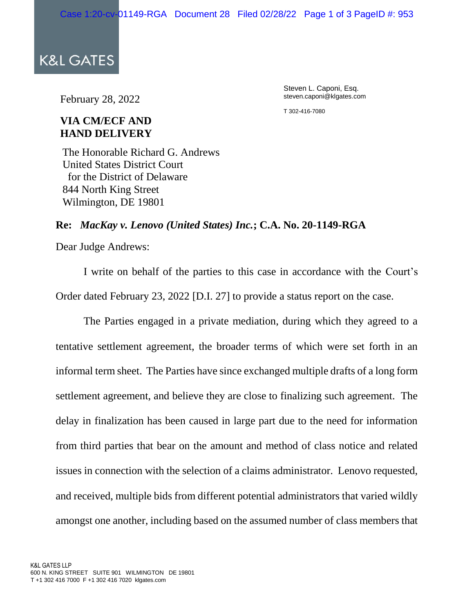**K&L GATES** 

February 28, 2022

Steven L. Caponi, Esq. steven.caponi@klgates.com

T 302-416-7080

## **VIA CM/ECF AND HAND DELIVERY**

The Honorable Richard G. Andrews United States District Court for the District of Delaware 844 North King Street Wilmington, DE 19801

## **Re:** *MacKay v. Lenovo (United States) Inc.***; C.A. No. 20-1149-RGA**

Dear Judge Andrews:

I write on behalf of the parties to this case in accordance with the Court's Order dated February 23, 2022 [D.I. 27] to provide a status report on the case.

The Parties engaged in a private mediation, during which they agreed to a tentative settlement agreement, the broader terms of which were set forth in an informal term sheet. The Parties have since exchanged multiple drafts of a long form settlement agreement, and believe they are close to finalizing such agreement. The delay in finalization has been caused in large part due to the need for information from third parties that bear on the amount and method of class notice and related issues in connection with the selection of a claims administrator. Lenovo requested, and received, multiple bids from different potential administrators that varied wildly amongst one another, including based on the assumed number of class members that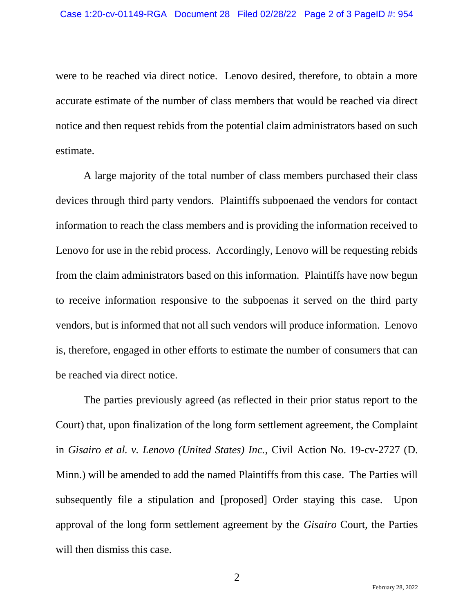were to be reached via direct notice. Lenovo desired, therefore, to obtain a more accurate estimate of the number of class members that would be reached via direct notice and then request rebids from the potential claim administrators based on such estimate.

A large majority of the total number of class members purchased their class devices through third party vendors. Plaintiffs subpoenaed the vendors for contact information to reach the class members and is providing the information received to Lenovo for use in the rebid process. Accordingly, Lenovo will be requesting rebids from the claim administrators based on this information. Plaintiffs have now begun to receive information responsive to the subpoenas it served on the third party vendors, but is informed that not all such vendors will produce information. Lenovo is, therefore, engaged in other efforts to estimate the number of consumers that can be reached via direct notice.

The parties previously agreed (as reflected in their prior status report to the Court) that, upon finalization of the long form settlement agreement, the Complaint in *Gisairo et al. v. Lenovo (United States) Inc.*, Civil Action No. 19-cv-2727 (D. Minn.) will be amended to add the named Plaintiffs from this case. The Parties will subsequently file a stipulation and [proposed] Order staying this case. Upon approval of the long form settlement agreement by the *Gisairo* Court, the Parties will then dismiss this case.

2